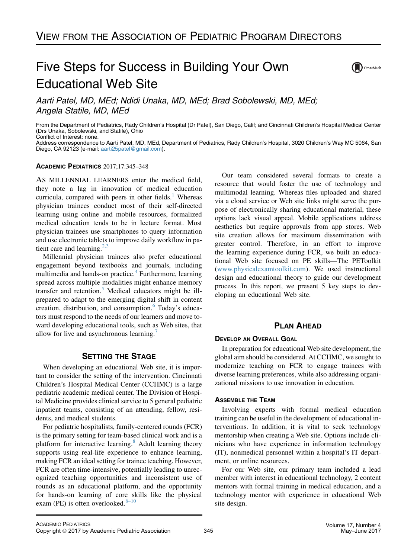## Five Steps for Success in Building Your Own Educational Web Site



Aarti Patel, MD, MEd; Ndidi Unaka, MD, MEd; Brad Sobolewski, MD, MEd; Angela Statile, MD, MEd

From the Department of Pediatrics, Rady Children's Hospital (Dr Patel), San Diego, Calif; and Cincinnati Children's Hospital Medical Center (Drs Unaka, Sobolewski, and Statile), Ohio Conflict of Interest: none.

Address correspondence to Aarti Patel, MD, MEd, Department of Pediatrics, Rady Children's Hospital, 3020 Children's Way MC 5064, San Diego, CA 92123 (e-mail: [aarti25patel@gmail.com\)](mailto:aarti25patel@gmail.com).

### ACADEMIC PEDIATRICS 2017;17:345–348

AS MILLENNIAL LEARNERS enter the medical field, they note a lag in innovation of medical education curricula, compared with peers in other fields. $<sup>1</sup>$  $<sup>1</sup>$  $<sup>1</sup>$  Whereas</sup> physician trainees conduct most of their self-directed learning using online and mobile resources, formalized medical education tends to be in lecture format. Most physician trainees use smartphones to query information and use electronic tablets to improve daily workflow in patient care and learning. $2,3$ 

Millennial physician trainees also prefer educational engagement beyond textbooks and journals, including multimedia and hands-on practice.<sup>[4](#page-3-0)</sup> Furthermore, learning spread across multiple modalities might enhance memory transfer and retention.<sup>5</sup> Medical educators might be illprepared to adapt to the emerging digital shift in content creation, distribution, and consumption.<sup>[6](#page-3-0)</sup> Today's educators must respond to the needs of our learners and move toward developing educational tools, such as Web sites, that allow for live and asynchronous learning.

When developing an educational Web site, it is important to consider the setting of the intervention. Cincinnati Children's Hospital Medical Center (CCHMC) is a large pediatric academic medical center. The Division of Hospital Medicine provides clinical service to 5 general pediatric inpatient teams, consisting of an attending, fellow, residents, and medical students.

For pediatric hospitalists, family-centered rounds (FCR) is the primary setting for team-based clinical work and is a platform for interactive learning. $8$  Adult learning theory supports using real-life experience to enhance learning, making FCR an ideal setting for trainee teaching. However, FCR are often time-intensive, potentially leading to unrecognized teaching opportunities and inconsistent use of rounds as an educational platform, and the opportunity for hands-on learning of core skills like the physical exam (PE) is often overlooked. $8-10$ 

Our team considered several formats to create a resource that would foster the use of technology and multimodal learning. Whereas files uploaded and shared via a cloud service or Web site links might serve the purpose of electronically sharing educational material, these options lack visual appeal. Mobile applications address aesthetics but require approvals from app stores. Web site creation allows for maximum dissemination with greater control. Therefore, in an effort to improve the learning experience during FCR, we built an educational Web site focused on PE skills—The PEToolkit ([www.physicalexamtoolkit.com](http://www.physicalexamtoolkit.com)). We used instructional design and educational theory to guide our development process. In this report, we present 5 key steps to developing an educational Web site.

### **PLAN AHEAD** PLAN AHEAD

In preparation for educational Web site development, the global aim should be considered. At CCHMC, we sought to modernize teaching on FCR to engage trainees with diverse learning preferences, while also addressing organizational missions to use innovation in education.

Involving experts with formal medical education training can be useful in the development of educational interventions. In addition, it is vital to seek technology mentorship when creating a Web site. Options include clinicians who have experience in information technology (IT), nonmedical personnel within a hospital's IT department, or online resources.

For our Web site, our primary team included a lead member with interest in educational technology, 2 content mentors with formal training in medical education, and a technology mentor with experience in educational Web site design.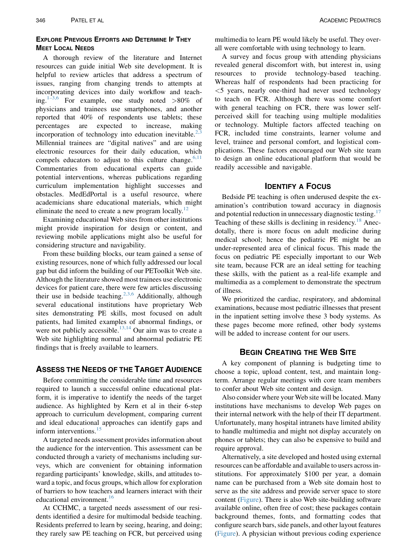### **EXPLORE PREVIOUS EFFORTS AND DETERMINE IF THEY MEET LOCAL NEEDS**

A thorough review of the literature and Internet resources can guide initial Web site development. It is helpful to review articles that address a spectrum of issues, ranging from changing trends to attempts at incorporating devices into daily workflow and teach-ing.<sup>[1–3,6](#page-3-0)</sup> For example, one study noted  $>80\%$  of physicians and trainees use smartphones, and another reported that 40% of respondents use tablets; these percentages are expected to increase, making incorporation of technology into education inevitable. $<sup>2</sup>$ </sup> Millennial trainees are "digital natives" and are using electronic resources for their daily education, which compels educators to adjust to this culture change.<sup>[6,11](#page-3-0)</sup> Commentaries from educational experts can guide potential interventions, whereas publications regarding curriculum implementation highlight successes and obstacles. MedEdPortal is a useful resource, where academicians share educational materials, which might eliminate the need to create a new program locally.<sup>[12](#page-3-0)</sup>

Examining educational Web sites from other institutions might provide inspiration for design or content, and reviewing mobile applications might also be useful for considering structure and navigability.

From these building blocks, our team gained a sense of existing resources, none of which fully addressed our local gap but did inform the building of our PEToolkit Web site. Although the literature showed most trainees use electronic devices for patient care, there were few articles discussing their use in bedside teaching.<sup>[2,3,6](#page-3-0)</sup> Additionally, although several educational institutions have proprietary Web sites demonstrating PE skills, most focused on adult patients, had limited examples of abnormal findings, or were not publicly accessible.<sup>[13,14](#page-3-0)</sup> Our aim was to create a Web site highlighting normal and abnormal pediatric PE findings that is freely available to learners.

### **ASSESS THE NEEDS OF THE TARGET AUDIENCE**

Before committing the considerable time and resources required to launch a successful online educational platform, it is imperative to identify the needs of the target audience. As highlighted by Kern et al in their 6-step approach to curriculum development, comparing current and ideal educational approaches can identify gaps and inform interventions.<sup>[15](#page-3-0)</sup>

A targeted needs assessment provides information about the audience for the intervention. This assessment can be conducted through a variety of mechanisms including surveys, which are convenient for obtaining information regarding participants' knowledge, skills, and attitudes toward a topic, and focus groups, which allow for exploration of barriers to how teachers and learners interact with their educational environment.<sup>[16](#page-3-0)</sup>

At CCHMC, a targeted needs assessment of our residents identified a desire for multimodal bedside teaching. Residents preferred to learn by seeing, hearing, and doing; they rarely saw PE teaching on FCR, but perceived using

multimedia to learn PE would likely be useful. They overall were comfortable with using technology to learn.

A survey and focus group with attending physicians revealed general discomfort with, but interest in, using resources to provide technology-based teaching. Whereas half of respondents had been practicing for  $<$  5 years, nearly one-third had never used technology to teach on FCR. Although there was some comfort with general teaching on FCR, there was lower selfperceived skill for teaching using multiple modalities or technology. Multiple factors affected teaching on FCR, included time constraints, learner volume and level, trainee and personal comfort, and logistical complications. These factors encouraged our Web site team to design an online educational platform that would be readily accessible and navigable.

Bedside PE teaching is often underused despite the examination's contribution toward accuracy in diagnosis and potential reduction in unnecessary diagnostic testing.<sup>[17](#page-3-0)</sup> Teaching of these skills is declining in residency.<sup>[18](#page-3-0)</sup> Anecdotally, there is more focus on adult medicine during medical school; hence the pediatric PE might be an under-represented area of clinical focus. This made the focus on pediatric PE especially important to our Web site team, because FCR are an ideal setting for teaching these skills, with the patient as a real-life example and multimedia as a complement to demonstrate the spectrum of illness.

We prioritized the cardiac, respiratory, and abdominal examinations, because most pediatric illnesses that present in the inpatient setting involve these 3 body systems. As these pages become more refined, other body systems will be added to increase content for our users.

A key component of planning is budgeting time to choose a topic, upload content, test, and maintain longterm. Arrange regular meetings with core team members to confer about Web site content and design.

Also consider where your Web site will be located. Many institutions have mechanisms to develop Web pages on their internal network with the help of their IT department. Unfortunately, many hospital intranets have limited ability to handle multimedia and might not display accurately on phones or tablets; they can also be expensive to build and require approval.

Alternatively, a site developed and hosted using external resources can be affordable and available to users across institutions. For approximately \$100 per year, a domain name can be purchased from a Web site domain host to serve as the site address and provide server space to store content [\(Figure](#page-2-0)). There is also Web site-building software available online, often free of cost; these packages contain background themes, fonts, and formatting codes that configure search bars, side panels, and other layout features ([Figure\)](#page-2-0). A physician without previous coding experience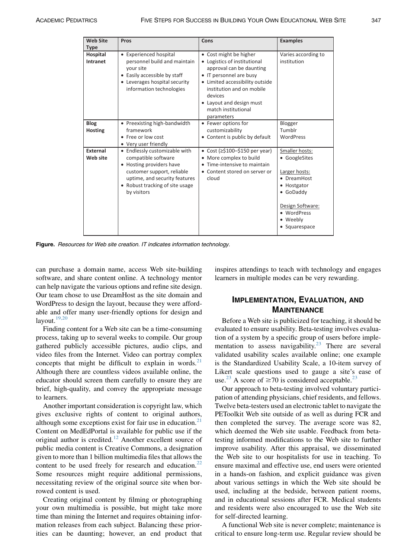<span id="page-2-0"></span>

| <b>Web Site</b><br><b>Type</b> | Pros                                                                                                                                                                                              | Cons                                                                                                                                                                                                                                                      | <b>Examples</b>                                                                                                                                             |
|--------------------------------|---------------------------------------------------------------------------------------------------------------------------------------------------------------------------------------------------|-----------------------------------------------------------------------------------------------------------------------------------------------------------------------------------------------------------------------------------------------------------|-------------------------------------------------------------------------------------------------------------------------------------------------------------|
| Hospital<br>Intranet           | • Experienced hospital<br>personnel build and maintain<br>your site<br>• Easily accessible by staff<br>• Leverages hospital security<br>information technologies                                  | • Cost might be higher<br>• Logistics of institutional<br>approval can be daunting<br>• IT personnel are busy<br>• Limited accessibility outside<br>institution and on mobile<br>devices<br>• Layout and design must<br>match institutional<br>parameters | Varies according to<br>institution                                                                                                                          |
| <b>Blog</b><br><b>Hosting</b>  | • Preexisting high-bandwidth<br>framework<br>• Free or low cost<br>• Very user friendly                                                                                                           | • Fewer options for<br>customizability<br>• Content is public by default                                                                                                                                                                                  | Blogger<br>Tumblr<br>WordPress                                                                                                                              |
| External<br>Web site           | • Endlessly customizable with<br>compatible software<br>• Hosting providers have<br>customer support, reliable<br>uptime, and security features<br>• Robust tracking of site usage<br>by visitors | • Cost ( $\geq$ \$100-\$150 per year)<br>• More complex to build<br>Time-intensive to maintain<br>• Content stored on server or<br>cloud                                                                                                                  | Smaller hosts:<br>• GoogleSites<br>Larger hosts:<br>• DreamHost<br>• Hostgator<br>• GoDaddy<br>Design Software:<br>· WordPress<br>• Weebly<br>• Squarespace |

Figure. Resources for Web site creation. IT indicates information technology.

can purchase a domain name, access Web site-building software, and share content online. A technology mentor can help navigate the various options and refine site design. Our team chose to use DreamHost as the site domain and WordPress to design the layout, because they were affordable and offer many user-friendly options for design and layout. $19,20$ 

Finding content for a Web site can be a time-consuming process, taking up to several weeks to compile. Our group gathered publicly accessible pictures, audio clips, and video files from the Internet. Video can portray complex concepts that might be difficult to explain in words. $21$ Although there are countless videos available online, the educator should screen them carefully to ensure they are brief, high-quality, and convey the appropriate message to learners.

Another important consideration is copyright law, which gives exclusive rights of content to original authors, although some exceptions exist for fair use in education. $21$ Content on MedEdPortal is available for public use if the original author is credited.<sup>[12](#page-3-0)</sup> Another excellent source of public media content is Creative Commons, a designation given to more than 1 billion multimedia files that allows the content to be used freely for research and education. $22$ Some resources might require additional permissions, necessitating review of the original source site when borrowed content is used.

Creating original content by filming or photographing your own multimedia is possible, but might take more time than mining the Internet and requires obtaining information releases from each subject. Balancing these priorities can be daunting; however, an end product that

inspires attendings to teach with technology and engages learners in multiple modes can be very rewarding.

# IMPLEMENTATION, EVALUATION, AND

MAINTENANCE Before a Web site is publicized for teaching, it should be evaluated to ensure usability. Beta-testing involves evaluation of a system by a specific group of users before imple-mentation to assess navigability.<sup>[23](#page-3-0)</sup> There are several validated usability scales available online; one example is the Standardized Usability Scale, a 10-item survey of Likert scale questions used to gauge a site's ease of use.<sup>[23](#page-3-0)</sup> A score of  $\geq$ 70 is considered acceptable.<sup>23</sup>

Our approach to beta-testing involved voluntary participation of attending physicians, chief residents, and fellows. Twelve beta-testers used an electronic tablet to navigate the PEToolkit Web site outside of as well as during FCR and then completed the survey. The average score was 82, which deemed the Web site usable. Feedback from betatesting informed modifications to the Web site to further improve usability. After this appraisal, we disseminated the Web site to our hospitalists for use in teaching. To ensure maximal and effective use, end users were oriented in a hands-on fashion, and explicit guidance was given about various settings in which the Web site should be used, including at the bedside, between patient rooms, and in educational sessions after FCR. Medical students and residents were also encouraged to use the Web site for self-directed learning.

A functional Web site is never complete; maintenance is critical to ensure long-term use. Regular review should be